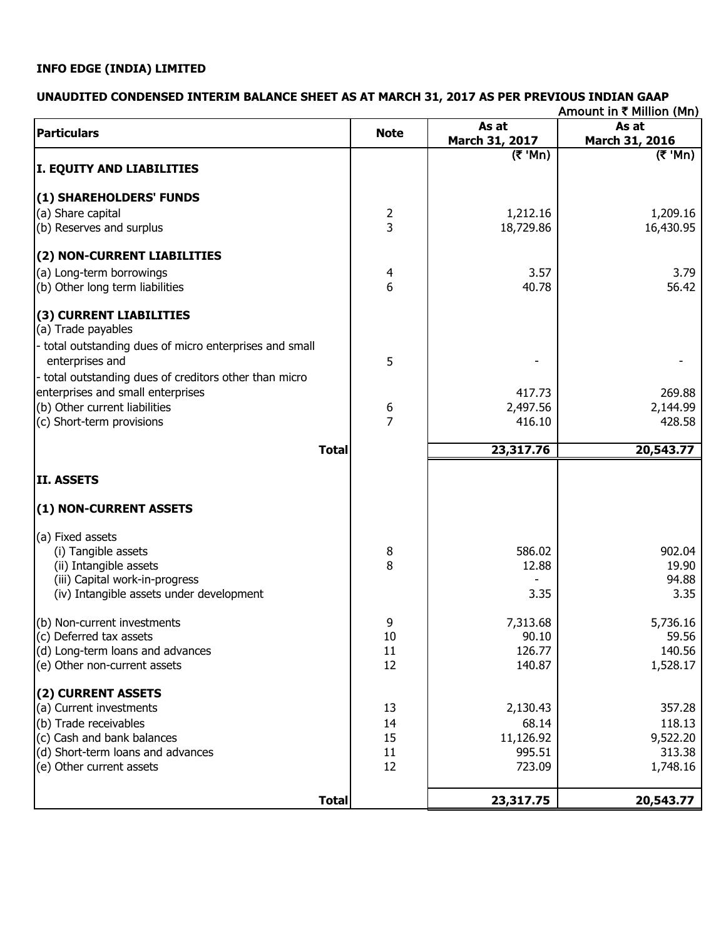# **INFO EDGE (INDIA) LIMITED**

# **UNAUDITED CONDENSED INTERIM BALANCE SHEET AS AT MARCH 31, 2017 AS PER PREVIOUS INDIAN GAAP**

|                                                         |                |                                         | Amount in ₹ Million (Mn)                  |
|---------------------------------------------------------|----------------|-----------------------------------------|-------------------------------------------|
| <b>Particulars</b>                                      | <b>Note</b>    | As at                                   | As at                                     |
|                                                         |                | March 31, 2017                          | March 31, 2016                            |
| <b>I. EQUITY AND LIABILITIES</b>                        |                | $(\overline{\mathbf{\mathcal{F}}}$ 'Mn) | $(\overline{\mathbf{x}}^{\mathsf{T}}$ Mn) |
| (1) SHAREHOLDERS' FUNDS                                 |                |                                         |                                           |
| (a) Share capital                                       | $\overline{2}$ | 1,212.16                                | 1,209.16                                  |
| (b) Reserves and surplus                                | 3              | 18,729.86                               | 16,430.95                                 |
| (2) NON-CURRENT LIABILITIES                             |                |                                         |                                           |
| (a) Long-term borrowings                                | 4              | 3.57                                    | 3.79                                      |
| (b) Other long term liabilities                         | 6              | 40.78                                   | 56.42                                     |
| (3) CURRENT LIABILITIES<br>(a) Trade payables           |                |                                         |                                           |
| - total outstanding dues of micro enterprises and small |                |                                         |                                           |
| enterprises and                                         | 5              |                                         |                                           |
| - total outstanding dues of creditors other than micro  |                |                                         |                                           |
| enterprises and small enterprises                       |                | 417.73                                  | 269.88                                    |
| (b) Other current liabilities                           |                | 2,497.56                                | 2,144.99                                  |
| (c) Short-term provisions                               | $\frac{6}{7}$  | 416.10                                  | 428.58                                    |
| <b>Total</b>                                            |                | 23,317.76                               | 20,543.77                                 |
| <b>II. ASSETS</b>                                       |                |                                         |                                           |
| (1) NON-CURRENT ASSETS                                  |                |                                         |                                           |
| (a) Fixed assets                                        |                |                                         |                                           |
| (i) Tangible assets                                     | 8              | 586.02                                  | 902.04                                    |
| (ii) Intangible assets                                  | 8              | 12.88                                   | 19.90                                     |
| (iii) Capital work-in-progress                          |                |                                         | 94.88                                     |
| (iv) Intangible assets under development                |                | 3.35                                    | 3.35                                      |
| (b) Non-current investments                             | 9              | 7,313.68                                | 5,736.16                                  |
| (c) Deferred tax assets                                 | 10             | 90.10                                   | 59.56                                     |
| (d) Long-term loans and advances                        | 11             | 126.77                                  | 140.56                                    |
| (e) Other non-current assets                            | 12             | 140.87                                  | 1,528.17                                  |
| (2) CURRENT ASSETS                                      |                |                                         |                                           |
| (a) Current investments                                 | 13             | 2,130.43                                | 357.28                                    |
| (b) Trade receivables                                   | 14             | 68.14                                   | 118.13                                    |
| (c) Cash and bank balances                              | 15             | 11,126.92                               | 9,522.20                                  |
| (d) Short-term loans and advances                       | 11             | 995.51                                  | 313.38                                    |
| (e) Other current assets                                | 12             | 723.09                                  | 1,748.16                                  |
| <b>Total</b>                                            |                | 23,317.75                               | 20,543.77                                 |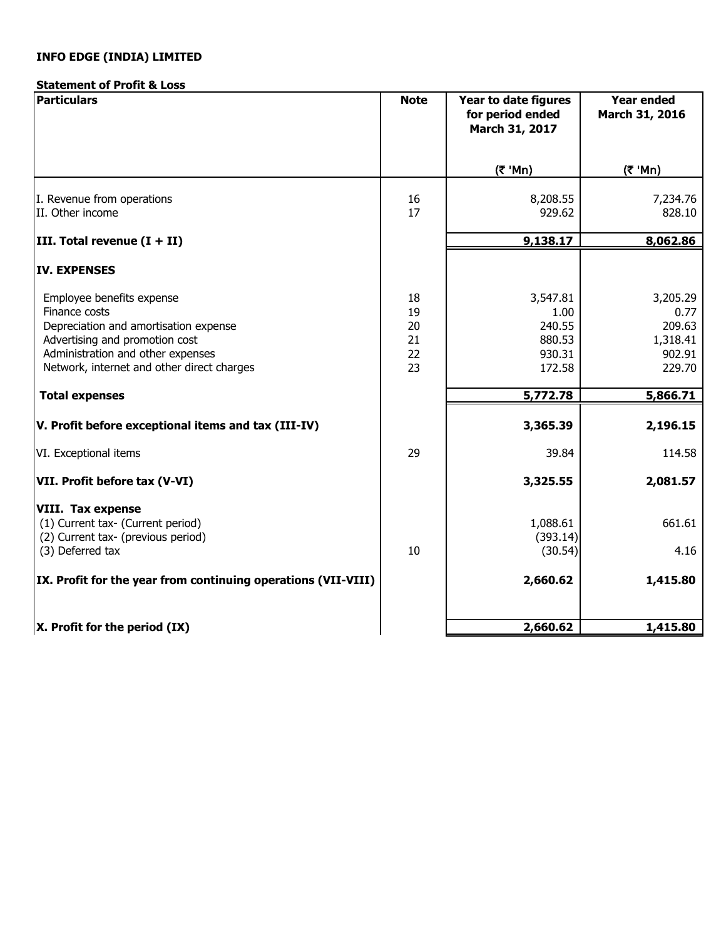# **INFO EDGE (INDIA) LIMITED**

# **Statement of Profit & Loss**

| <b>Particulars</b>                                                                                                                                                                                       | <b>Note</b>                      | Year to date figures<br>for period ended<br>March 31, 2017 | <b>Year ended</b><br>March 31, 2016                        |
|----------------------------------------------------------------------------------------------------------------------------------------------------------------------------------------------------------|----------------------------------|------------------------------------------------------------|------------------------------------------------------------|
|                                                                                                                                                                                                          |                                  | (₹ 'Mn)                                                    | (₹ 'Mn)                                                    |
| I. Revenue from operations<br>II. Other income                                                                                                                                                           | 16<br>17                         | 8,208.55<br>929.62                                         | 7,234.76<br>828.10                                         |
| III. Total revenue $(I + II)$                                                                                                                                                                            |                                  | 9,138.17                                                   | 8,062.86                                                   |
| <b>IV. EXPENSES</b>                                                                                                                                                                                      |                                  |                                                            |                                                            |
| Employee benefits expense<br>Finance costs<br>Depreciation and amortisation expense<br>Advertising and promotion cost<br>Administration and other expenses<br>Network, internet and other direct charges | 18<br>19<br>20<br>21<br>22<br>23 | 3,547.81<br>1.00<br>240.55<br>880.53<br>930.31<br>172.58   | 3,205.29<br>0.77<br>209.63<br>1,318.41<br>902.91<br>229.70 |
| <b>Total expenses</b>                                                                                                                                                                                    |                                  | 5,772.78                                                   | 5,866.71                                                   |
| V. Profit before exceptional items and tax (III-IV)                                                                                                                                                      |                                  | 3,365.39                                                   | 2,196.15                                                   |
| VI. Exceptional items                                                                                                                                                                                    | 29                               | 39.84                                                      | 114.58                                                     |
| VII. Profit before tax (V-VI)                                                                                                                                                                            |                                  | 3,325.55                                                   | 2,081.57                                                   |
| <b>VIII. Tax expense</b><br>(1) Current tax- (Current period)<br>(2) Current tax- (previous period)<br>(3) Deferred tax                                                                                  | 10                               | 1,088.61<br>(393.14)<br>(30.54)                            | 661.61<br>4.16                                             |
| IX. Profit for the year from continuing operations (VII-VIII)                                                                                                                                            |                                  | 2,660.62                                                   | 1,415.80                                                   |
| $X$ . Profit for the period $(IX)$                                                                                                                                                                       |                                  | 2,660.62                                                   | 1,415.80                                                   |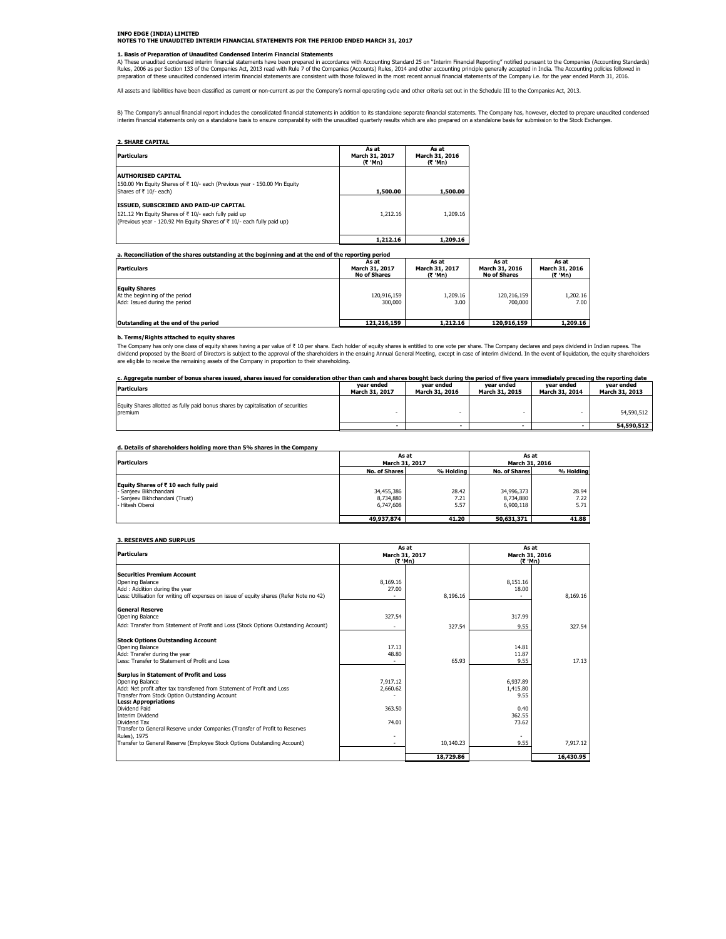# **INFO EDGE (INDIA) LIMITED NOTES TO THE UNAUDITED INTERIM FINANCIAL STATEMENTS FOR THE PERIOD ENDED MARCH 31, 2017**

#### **1. Basis of Preparation of Unaudited Condensed Interim Financial Statements**

A) These unaudited condensed interim financial statements have been prepared in accordance with Accounting Standard 25 on "Interim Financial Reporting" notified pursuant to the Companies (Accounting Standards)<br>Rules, 2006

All assets and liabilities have been classified as current or non-current as per the Company's normal operating cycle and other criteria set out in the Schedule III to the Companies Act, 2013.

B) The Company's annual financial report includes the consolidated financial statements in addition to its standalone separate financial statements. The Company has, however, elected to prepare unaudited condensed<br>interim

| <b>2. SHARE CAPITAL</b>                                                                                                                                                  |                                   |                                    |
|--------------------------------------------------------------------------------------------------------------------------------------------------------------------------|-----------------------------------|------------------------------------|
| <b>Particulars</b>                                                                                                                                                       | As at<br>March 31, 2017<br>(C Mn) | As at<br>March 31, 2016<br>(C 'Mn) |
| <b>AUTHORISED CAPITAL</b><br>150.00 Mn Equity Shares of ₹ 10/- each (Previous year - 150.00 Mn Equity<br>Shares of ₹ 10/- each)                                          | 1,500.00                          | 1,500.00                           |
| ISSUED, SUBSCRIBED AND PAID-UP CAPITAL<br>121.12 Mn Equity Shares of ₹ 10/- each fully paid up<br>(Previous year - 120.92 Mn Equity Shares of ₹ 10/- each fully paid up) | 1,212.16                          | 1,209.16                           |
|                                                                                                                                                                          | 1.212.16                          | 1,209.16                           |

#### **a. Reconciliation of the shares outstanding at the beginning and at the end of the reporting period**

| <b>Particulars</b>                                                                      | As at<br>March 31, 2017<br><b>No of Shares</b> | As at<br>March 31, 2017<br>(7 'Mn) | As at<br>March 31, 2016<br><b>No of Shares</b> | As at<br>March 31, 2016<br>(₹ 'Mn) |
|-----------------------------------------------------------------------------------------|------------------------------------------------|------------------------------------|------------------------------------------------|------------------------------------|
| <b>Equity Shares</b><br>At the beginning of the period<br>Add: Issued during the period | 120,916,159<br>300,000                         | 1,209.16<br>3.00                   | 120.216.159<br>700,000                         | 1,202.16<br>7.00                   |
| Outstanding at the end of the period                                                    | 121,216,159                                    | 1,212.16                           | 120,916,159                                    | 1,209.16                           |

#### **b. Terms/Rights attached to equity shares**

The Company has only one class of equity shares having a par value of ₹ 10 per share. Each holder of equity shares is entitled to one vote per share. The Company declares and pays dividend in Indian rupees. The<br>dividend p

| . shares issued for consideration other :<br>e number of bonus shares issued<br>Aggregate - | than           | n cash and shares bought back during the period of t | f five vears | `immediatelv .<br>"Arim.<br>. nrec | * the reporting date |
|---------------------------------------------------------------------------------------------|----------------|------------------------------------------------------|--------------|------------------------------------|----------------------|
| Particulars                                                                                 | r ended<br>vea | vear ended                                           | vear ended   | vear ended                         | vear endec           |
|                                                                                             |                | --                                                   |              |                                    |                      |

| <b>Particulars</b>                                                                           | -------------<br>March 31, 2017 | -------------<br>March 31, 2016 | ------------<br>March 31, 2015 | ------------<br>March 31, 2014 | March 31, 2013 |
|----------------------------------------------------------------------------------------------|---------------------------------|---------------------------------|--------------------------------|--------------------------------|----------------|
| Equity Shares allotted as fully paid bonus shares by capitalisation of securities<br>premium |                                 |                                 |                                |                                | 54,590,512     |
|                                                                                              |                                 |                                 |                                |                                | 54,590,512     |

#### **d. Details of shareholders holding more than 5% shares in the Company**

| <b>Particulars</b>                                                                                                  | March 31, 2017                       | As at                 | As at<br>March 31, 2016              |                       |  |
|---------------------------------------------------------------------------------------------------------------------|--------------------------------------|-----------------------|--------------------------------------|-----------------------|--|
|                                                                                                                     | <b>No. of Shares</b>                 | % Holding             | <b>No. of Shares</b>                 | % Holding             |  |
| Equity Shares of ₹10 each fully paid<br>- Sanieev Bikhchandani<br>- Sanieev Bikhchandani (Trust)<br>- Hitesh Oberoi | 34,455,386<br>8,734,880<br>6.747.608 | 28.42<br>7.21<br>5.57 | 34,996,373<br>8,734,880<br>6,900.118 | 28.94<br>7.22<br>5.71 |  |
|                                                                                                                     | 49,937,874                           | 41.20                 | 50,631,371                           | 41.88                 |  |

#### **3. RESERVES AND SURPLUS**

|                                                                                         |                          | As at     | As at                    |           |
|-----------------------------------------------------------------------------------------|--------------------------|-----------|--------------------------|-----------|
| <b>Particulars</b>                                                                      | March 31, 2017<br>(7 Mn) |           | March 31, 2016<br>(C Mn) |           |
|                                                                                         |                          |           |                          |           |
| <b>Securities Premium Account</b>                                                       |                          |           |                          |           |
| Opening Balance                                                                         | 8,169.16                 |           | 8,151.16                 |           |
| Add: Addition during the year                                                           | 27.00                    |           | 18.00                    |           |
| Less: Utilisation for writing off expenses on issue of equity shares (Refer Note no 42) |                          | 8,196.16  |                          | 8.169.16  |
| <b>General Reserve</b>                                                                  |                          |           |                          |           |
| Opening Balance                                                                         | 327.54                   |           | 317.99                   |           |
| Add: Transfer from Statement of Profit and Loss (Stock Options Outstanding Account)     | $\blacksquare$           | 327.54    | 9.55                     | 327.54    |
|                                                                                         |                          |           |                          |           |
| <b>Stock Options Outstanding Account</b><br>Opening Balance                             | 17.13                    |           | 14.81                    |           |
| Add: Transfer during the year                                                           | 48.80                    |           | 11.87                    |           |
| Less: Transfer to Statement of Profit and Loss                                          |                          | 65.93     | 9.55                     | 17.13     |
|                                                                                         |                          |           |                          |           |
| <b>Surplus in Statement of Profit and Loss</b>                                          |                          |           |                          |           |
| Opening Balance                                                                         | 7,917.12                 |           | 6,937.89                 |           |
| Add: Net profit after tax transferred from Statement of Profit and Loss                 | 2,660.62                 |           | 1,415.80                 |           |
| Transfer from Stock Option Outstanding Account                                          |                          |           | 9.55                     |           |
| <b>Less: Appropriations</b><br>Dividend Paid                                            | 363.50                   |           | 0.40                     |           |
| <b>Interim Dividend</b>                                                                 |                          |           | 362.55                   |           |
| Dividend Tax                                                                            | 74.01                    |           | 73.62                    |           |
| Transfer to General Reserve under Companies (Transfer of Profit to Reserves             |                          |           |                          |           |
| Rules), 1975                                                                            | ٠                        |           |                          |           |
| Transfer to General Reserve (Employee Stock Options Outstanding Account)                | ٠                        | 10.140.23 | 9.55                     | 7.917.12  |
|                                                                                         |                          | 18,729.86 |                          | 16,430.95 |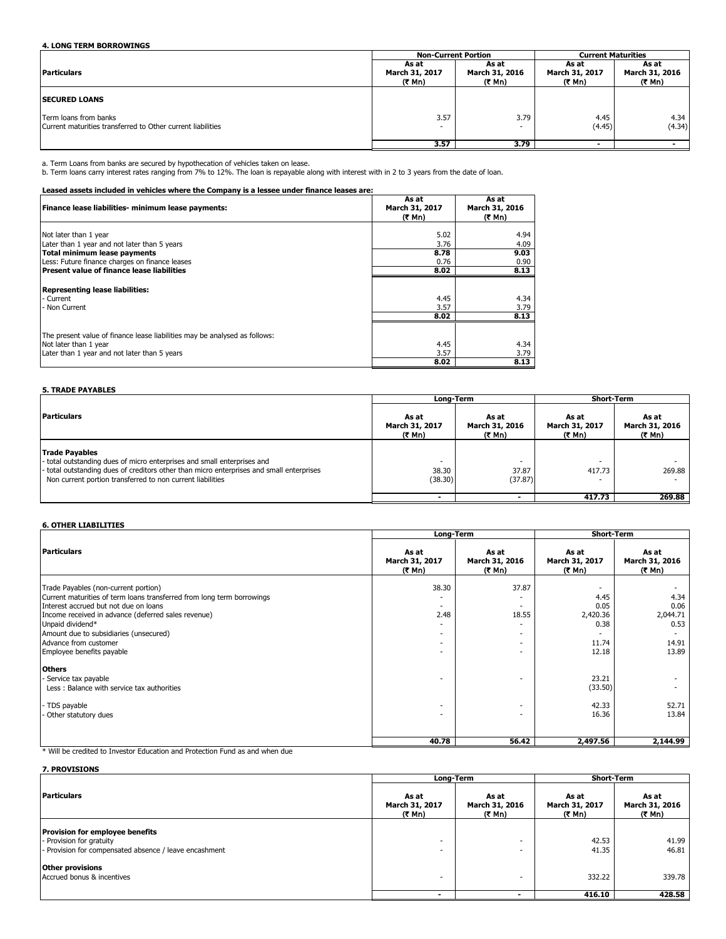# **4. LONG TERM BORROWINGS**

|                                                                                      | <b>Non-Current Portion</b>        |                                   | <b>Current Maturities</b>         |                                   |
|--------------------------------------------------------------------------------------|-----------------------------------|-----------------------------------|-----------------------------------|-----------------------------------|
| <b>Particulars</b>                                                                   | As at<br>March 31, 2017<br>(₹ Mn) | As at<br>March 31, 2016<br>(₹ Mn) | As at<br>March 31, 2017<br>(₹ Mn) | As at<br>March 31, 2016<br>(₹ Mn) |
| <b>ISECURED LOANS</b>                                                                |                                   |                                   |                                   |                                   |
| Term loans from banks<br>Current maturities transferred to Other current liabilities | 3.57<br>$\overline{\phantom{a}}$  | 3.79                              | 4.45<br>(4.45)                    | 4.34<br>(4.34)                    |
|                                                                                      | 3.57                              | 3.79                              |                                   |                                   |

a. Term Loans from banks are secured by hypothecation of vehicles taken on lease.<br>b. Term loans carry interest rates ranging from 7% to 12%. The loan is repayable along with interest with in 2 to 3 years from the date of l

## **Leased assets included in vehicles where the Company is a lessee under finance leases are:**

| Finance lease liabilities- minimum lease payments:                                                                                                  | As at<br>March 31, 2017<br>(₹ Mn) | As at<br>March 31, 2016<br>(そ Mn) |
|-----------------------------------------------------------------------------------------------------------------------------------------------------|-----------------------------------|-----------------------------------|
| Not later than 1 year                                                                                                                               | 5.02                              | 4.94                              |
| Later than 1 year and not later than 5 years                                                                                                        | 3.76                              | 4.09                              |
| Total minimum lease payments                                                                                                                        | 8.78                              | 9.03                              |
| Less: Future finance charges on finance leases                                                                                                      | 0.76                              | 0.90                              |
| Present value of finance lease liabilities                                                                                                          | 8.02                              | 8.13                              |
| <b>Representing lease liabilities:</b><br>- Current<br>- Non Current                                                                                | 4.45<br>3.57<br>8.02              | 4.34<br>3.79<br>8.13              |
| The present value of finance lease liabilities may be analysed as follows:<br>Not later than 1 year<br>Later than 1 year and not later than 5 years | 4.45<br>3.57                      | 4.34<br>3.79                      |
|                                                                                                                                                     | 8.02                              | 8.13                              |

#### **5. TRADE PAYABLES**

|                                                                                                                                                                                                                                                            |                                               | Long-Term                         | <b>Short-Term</b>                  |                                   |
|------------------------------------------------------------------------------------------------------------------------------------------------------------------------------------------------------------------------------------------------------------|-----------------------------------------------|-----------------------------------|------------------------------------|-----------------------------------|
| <b>Particulars</b>                                                                                                                                                                                                                                         | As at<br>March 31, 2017<br>( <del>₹</del> Mn) | As at<br>March 31, 2016<br>(र Mn) | As at<br>March 31, 2017<br>(₹ Mn)  | As at<br>March 31, 2016<br>(र Mn) |
| <b>Trade Payables</b><br>- total outstanding dues of micro enterprises and small enterprises and<br>- total outstanding dues of creditors other than micro enterprises and small enterprises<br>Non current portion transferred to non current liabilities | 38.30<br>(38.30)                              | 37.87<br>(37.87)                  | 417.73<br>$\overline{\phantom{a}}$ | 269.88                            |
|                                                                                                                                                                                                                                                            | -                                             |                                   | 417.73                             | 269.88                            |

### **6. OTHER LIABILITIES**

|                                                                                                                                                                                                                                                                                                                                    | Long-Term                                                                                                                |                                   | <b>Short-Term</b>                                       |                                                    |
|------------------------------------------------------------------------------------------------------------------------------------------------------------------------------------------------------------------------------------------------------------------------------------------------------------------------------------|--------------------------------------------------------------------------------------------------------------------------|-----------------------------------|---------------------------------------------------------|----------------------------------------------------|
| Particulars                                                                                                                                                                                                                                                                                                                        | As at<br>March 31, 2017<br>(₹ Mn)                                                                                        | As at<br>March 31, 2016<br>(₹ Mn) | As at<br>March 31, 2017<br>(₹ Mn)                       | As at<br>March 31, 2016<br>(₹ Mn)                  |
| Trade Payables (non-current portion)<br>Current maturities of term loans transferred from long term borrowings<br>Interest accrued but not due on loans<br>Income received in advance (deferred sales revenue)<br>Unpaid dividend*<br>Amount due to subsidiaries (unsecured)<br>Advance from customer<br>Employee benefits payable | 38.30<br>$\overline{\phantom{a}}$<br>2.48<br>$\overline{a}$<br>٠<br>$\overline{\phantom{a}}$<br>$\overline{\phantom{a}}$ | 37.87<br>۰<br>18.55<br>۰<br>٠     | ۰<br>4.45<br>0.05<br>2,420.36<br>0.38<br>11.74<br>12.18 | 4.34<br>0.06<br>2,044.71<br>0.53<br>14.91<br>13.89 |
| <b>Others</b><br>Service tax payable<br>Less: Balance with service tax authorities<br>- TDS payable<br>Other statutory dues                                                                                                                                                                                                        | $\overline{\phantom{a}}$<br>$\overline{\phantom{a}}$                                                                     | ۰<br>٠                            | 23.21<br>(33.50)<br>42.33<br>16.36                      | 52.71<br>13.84                                     |
|                                                                                                                                                                                                                                                                                                                                    | 40.78                                                                                                                    | 56.42                             | 2,497.56                                                | 2,144.99                                           |

\* Will be credited to Investor Education and Protection Fund as and when due

**7. PROVISIONS**

|                                                                                                                              | Long-Term                         |                                   | Short-Term                        |                                   |  |
|------------------------------------------------------------------------------------------------------------------------------|-----------------------------------|-----------------------------------|-----------------------------------|-----------------------------------|--|
| Particulars                                                                                                                  | As at<br>March 31, 2017<br>(₹ Mn) | As at<br>March 31, 2016<br>(र Mn) | As at<br>March 31, 2017<br>(₹ Mn) | As at<br>March 31, 2016<br>(₹ Mn) |  |
| <b>Provision for employee benefits</b><br>- Provision for gratuity<br>- Provision for compensated absence / leave encashment | $\overline{a}$                    |                                   | 42.53<br>41.35                    | 41.99<br>46.81                    |  |
| <b>Other provisions</b><br>Accrued bonus & incentives                                                                        | $\overline{a}$                    |                                   | 332.22                            | 339.78                            |  |
|                                                                                                                              |                                   |                                   | 416.10                            | 428.58                            |  |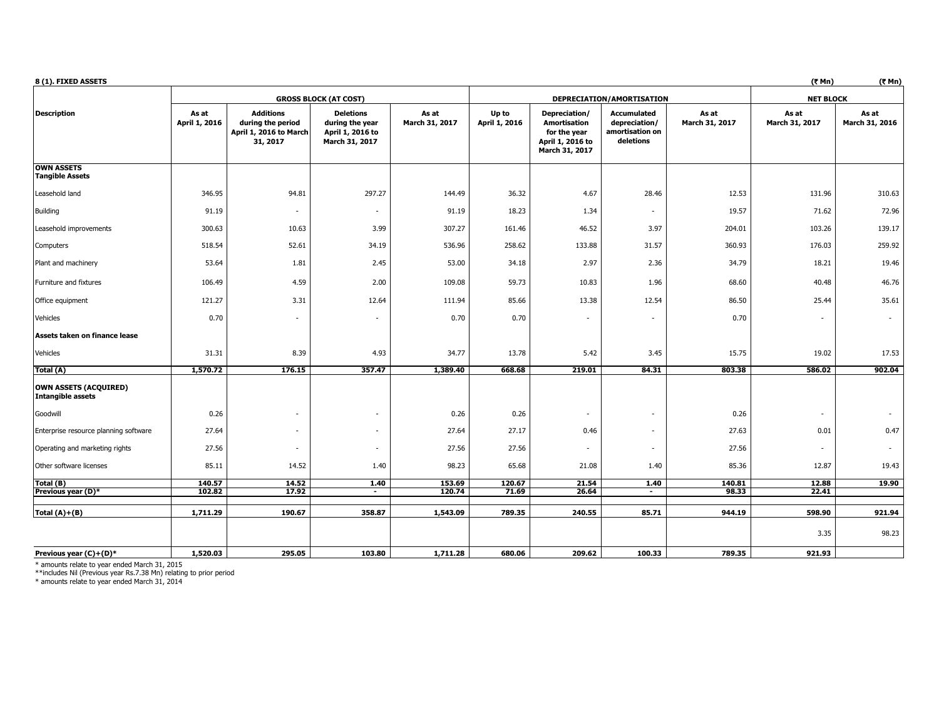| 8 (1). FIXED ASSETS                               |                        |                                                                             |                                                                           |                         |                        |                                                                                     |                                                                     |                         | (₹ Mn)                  | (₹ Mn)                  |
|---------------------------------------------------|------------------------|-----------------------------------------------------------------------------|---------------------------------------------------------------------------|-------------------------|------------------------|-------------------------------------------------------------------------------------|---------------------------------------------------------------------|-------------------------|-------------------------|-------------------------|
|                                                   |                        |                                                                             | <b>GROSS BLOCK (AT COST)</b>                                              |                         |                        |                                                                                     | DEPRECIATION/AMORTISATION                                           |                         | <b>NET BLOCK</b>        |                         |
| <b>Description</b>                                | As at<br>April 1, 2016 | <b>Additions</b><br>during the period<br>April 1, 2016 to March<br>31, 2017 | <b>Deletions</b><br>during the year<br>April 1, 2016 to<br>March 31, 2017 | As at<br>March 31, 2017 | Up to<br>April 1, 2016 | Depreciation/<br>Amortisation<br>for the year<br>April 1, 2016 to<br>March 31, 2017 | <b>Accumulated</b><br>depreciation/<br>amortisation on<br>deletions | As at<br>March 31, 2017 | As at<br>March 31, 2017 | As at<br>March 31, 2016 |
| <b>OWN ASSETS</b>                                 |                        |                                                                             |                                                                           |                         |                        |                                                                                     |                                                                     |                         |                         |                         |
| <b>Tangible Assets</b>                            |                        |                                                                             |                                                                           |                         |                        |                                                                                     |                                                                     |                         |                         |                         |
| Leasehold land                                    | 346.95                 | 94.81                                                                       | 297.27                                                                    | 144.49                  | 36.32                  | 4.67                                                                                | 28.46                                                               | 12.53                   | 131.96                  | 310.63                  |
| <b>Building</b>                                   | 91.19                  | $\frac{1}{2}$                                                               | $\overline{\phantom{a}}$                                                  | 91.19                   | 18.23                  | 1.34                                                                                | $\sim$                                                              | 19.57                   | 71.62                   | 72.96                   |
| Leasehold improvements                            | 300.63                 | 10.63                                                                       | 3.99                                                                      | 307.27                  | 161.46                 | 46.52                                                                               | 3.97                                                                | 204.01                  | 103.26                  | 139.17                  |
| Computers                                         | 518.54                 | 52.61                                                                       | 34.19                                                                     | 536.96                  | 258.62                 | 133.88                                                                              | 31.57                                                               | 360.93                  | 176.03                  | 259.92                  |
| Plant and machinery                               | 53.64                  | 1.81                                                                        | 2.45                                                                      | 53.00                   | 34.18                  | 2.97                                                                                | 2.36                                                                | 34.79                   | 18.21                   | 19.46                   |
| Furniture and fixtures                            | 106.49                 | 4.59                                                                        | 2.00                                                                      | 109.08                  | 59.73                  | 10.83                                                                               | 1.96                                                                | 68.60                   | 40.48                   | 46.76                   |
| Office equipment                                  | 121.27                 | 3.31                                                                        | 12.64                                                                     | 111.94                  | 85.66                  | 13.38                                                                               | 12.54                                                               | 86.50                   | 25.44                   | 35.61                   |
| Vehicles                                          | 0.70                   | ٠                                                                           | $\overline{\phantom{a}}$                                                  | 0.70                    | 0.70                   | $\sim$                                                                              | ٠                                                                   | 0.70                    |                         | $\sim$                  |
| Assets taken on finance lease                     |                        |                                                                             |                                                                           |                         |                        |                                                                                     |                                                                     |                         |                         |                         |
| Vehicles                                          | 31.31                  | 8.39                                                                        | 4.93                                                                      | 34.77                   | 13.78                  | 5.42                                                                                | 3.45                                                                | 15.75                   | 19.02                   | 17.53                   |
| Total (A)                                         | 1,570.72               | 176.15                                                                      | 357.47                                                                    | 1,389.40                | 668.68                 | 219.01                                                                              | 84.31                                                               | 803.38                  | 586.02                  | 902.04                  |
| OWN ASSETS (ACQUIRED)<br><b>Intangible assets</b> |                        |                                                                             |                                                                           |                         |                        |                                                                                     |                                                                     |                         |                         |                         |
| Goodwill                                          | 0.26                   | ٠                                                                           | $\overline{\phantom{a}}$                                                  | 0.26                    | 0.26                   | $\sim$                                                                              | $\overline{\phantom{a}}$                                            | 0.26                    | $\overline{a}$          |                         |
| Enterprise resource planning software             | 27.64                  | ٠                                                                           | $\overline{\phantom{a}}$                                                  | 27.64                   | 27.17                  | 0.46                                                                                | ٠                                                                   | 27.63                   | 0.01                    | 0.47                    |
| Operating and marketing rights                    | 27.56                  | ٠                                                                           | $\sim$                                                                    | 27.56                   | 27.56                  | ٠                                                                                   | ٠                                                                   | 27.56                   |                         |                         |
| Other software licenses                           | 85.11                  | 14.52                                                                       | 1.40                                                                      | 98.23                   | 65.68                  | 21.08                                                                               | 1.40                                                                | 85.36                   | 12.87                   | 19.43                   |
| Total (B)                                         | 140.57<br>102.82       | 14.52<br>17.92                                                              | 1.40<br>$\blacksquare$                                                    | 153.69<br>120.74        | 120.67<br>71.69        | 21.54<br>26.64                                                                      | 1.40<br>$\blacksquare$                                              | 140.81<br>98.33         | 12.88<br>22.41          | 19.90                   |
| Previous year (D)*                                |                        |                                                                             |                                                                           |                         |                        |                                                                                     |                                                                     |                         |                         |                         |
| Total $(A)+(B)$                                   | 1,711.29               | 190.67                                                                      | 358.87                                                                    | 1,543.09                | 789.35                 | 240.55                                                                              | 85.71                                                               | 944.19                  | 598.90                  | 921.94                  |
|                                                   |                        |                                                                             |                                                                           |                         |                        |                                                                                     |                                                                     |                         | 3.35                    | 98.23                   |
| Previous year $(C)+(D)^*$                         | 1,520.03               | 295.05                                                                      | 103.80                                                                    | 1,711.28                | 680.06                 | 209.62                                                                              | 100.33                                                              | 789.35                  | 921.93                  |                         |

\* amounts relate to year ended March 31, 2015 \*\*includes Nil (Previous year Rs.7.38 Mn) relating to prior period \* amounts relate to year ended March 31, 2014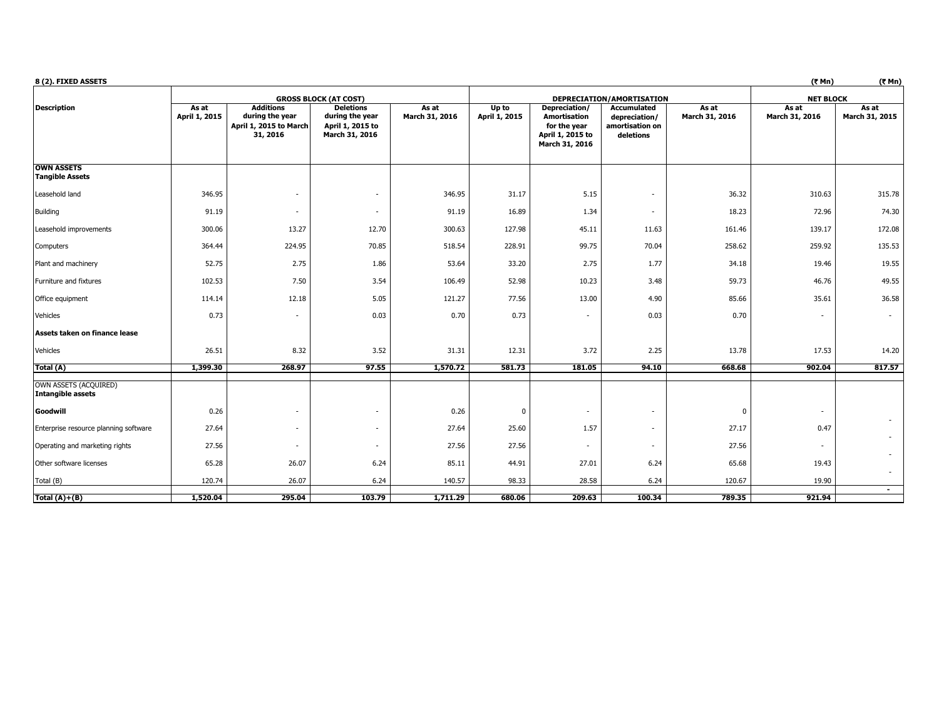| 8 (2). FIXED ASSETS                               |                        |                                                                    |                                                                           |                         |                        |                                                                                            |                                                                     |                         | (7 Mn)                  | (7 Mn)                  |
|---------------------------------------------------|------------------------|--------------------------------------------------------------------|---------------------------------------------------------------------------|-------------------------|------------------------|--------------------------------------------------------------------------------------------|---------------------------------------------------------------------|-------------------------|-------------------------|-------------------------|
|                                                   |                        |                                                                    | <b>GROSS BLOCK (AT COST)</b>                                              |                         |                        |                                                                                            | DEPRECIATION/AMORTISATION                                           |                         | <b>NET BLOCK</b>        |                         |
| <b>Description</b>                                | As at<br>April 1, 2015 | Additions<br>during the year<br>April 1, 2015 to March<br>31, 2016 | <b>Deletions</b><br>during the year<br>April 1, 2015 to<br>March 31, 2016 | As at<br>March 31, 2016 | Up to<br>April 1, 2015 | Depreciation/<br><b>Amortisation</b><br>for the year<br>April 1, 2015 to<br>March 31, 2016 | <b>Accumulated</b><br>depreciation/<br>amortisation on<br>deletions | As at<br>March 31, 2016 | As at<br>March 31, 2016 | As at<br>March 31, 2015 |
| <b>OWN ASSETS</b><br><b>Tangible Assets</b>       |                        |                                                                    |                                                                           |                         |                        |                                                                                            |                                                                     |                         |                         |                         |
| Leasehold land                                    | 346.95                 | ٠                                                                  |                                                                           | 346.95                  | 31.17                  | 5.15                                                                                       |                                                                     | 36.32                   | 310.63                  | 315.78                  |
| <b>Building</b>                                   | 91.19                  | $\overline{\phantom{a}}$                                           |                                                                           | 91.19                   | 16.89                  | 1.34                                                                                       | $\overline{\phantom{a}}$                                            | 18.23                   | 72.96                   | 74.30                   |
| Leasehold improvements                            | 300.06                 | 13.27                                                              | 12.70                                                                     | 300.63                  | 127.98                 | 45.11                                                                                      | 11.63                                                               | 161.46                  | 139.17                  | 172.08                  |
| Computers                                         | 364.44                 | 224.95                                                             | 70.85                                                                     | 518.54                  | 228.91                 | 99.75                                                                                      | 70.04                                                               | 258.62                  | 259.92                  | 135.53                  |
| Plant and machinery                               | 52.75                  | 2.75                                                               | 1.86                                                                      | 53.64                   | 33.20                  | 2.75                                                                                       | 1.77                                                                | 34.18                   | 19.46                   | 19.55                   |
| Furniture and fixtures                            | 102.53                 | 7.50                                                               | 3.54                                                                      | 106.49                  | 52.98                  | 10.23                                                                                      | 3.48                                                                | 59.73                   | 46.76                   | 49.55                   |
| Office equipment                                  | 114.14                 | 12.18                                                              | 5.05                                                                      | 121.27                  | 77.56                  | 13.00                                                                                      | 4.90                                                                | 85.66                   | 35.61                   | 36.58                   |
| Vehicles                                          | 0.73                   | ٠                                                                  | 0.03                                                                      | 0.70                    | 0.73                   |                                                                                            | 0.03                                                                | 0.70                    |                         | $\sim$                  |
| Assets taken on finance lease                     |                        |                                                                    |                                                                           |                         |                        |                                                                                            |                                                                     |                         |                         |                         |
| Vehicles                                          | 26.51                  | 8.32                                                               | 3.52                                                                      | 31.31                   | 12.31                  | 3.72                                                                                       | 2.25                                                                | 13.78                   | 17.53                   | 14.20                   |
| Total (A)                                         | 1,399.30               | 268.97                                                             | 97.55                                                                     | 1,570.72                | 581.73                 | 181.05                                                                                     | 94.10                                                               | 668.68                  | 902.04                  | 817.57                  |
| OWN ASSETS (ACQUIRED)<br><b>Intangible assets</b> |                        |                                                                    |                                                                           |                         |                        |                                                                                            |                                                                     |                         |                         |                         |
| Goodwill                                          | 0.26                   | ٠                                                                  |                                                                           | 0.26                    | 0                      | $\sim$                                                                                     | $\overline{\phantom{a}}$                                            | $\Omega$                | $\sim$                  | $\sim$                  |
| Enterprise resource planning software             | 27.64                  | $\overline{\phantom{a}}$                                           | $\overline{\phantom{a}}$                                                  | 27.64                   | 25.60                  | 1.57                                                                                       | $\sim$                                                              | 27.17                   | 0.47                    | $\sim$                  |
| Operating and marketing rights                    | 27.56                  | ٠                                                                  |                                                                           | 27.56                   | 27.56                  | ٠                                                                                          | $\sim$                                                              | 27.56                   | $\sim$                  | ÷.                      |
| Other software licenses                           | 65.28                  | 26.07                                                              | 6.24                                                                      | 85.11                   | 44.91                  | 27.01                                                                                      | 6.24                                                                | 65.68                   | 19.43                   | $\sim$                  |
| Total (B)                                         | 120.74                 | 26.07                                                              | 6.24                                                                      | 140.57                  | 98.33                  | 28.58                                                                                      | 6.24                                                                | 120.67                  | 19.90                   | $\blacksquare$          |
| Total $(A)+(B)$                                   | 1,520.04               | 295.04                                                             | 103.79                                                                    | 1,711.29                | 680.06                 | 209.63                                                                                     | 100.34                                                              | 789.35                  | 921.94                  |                         |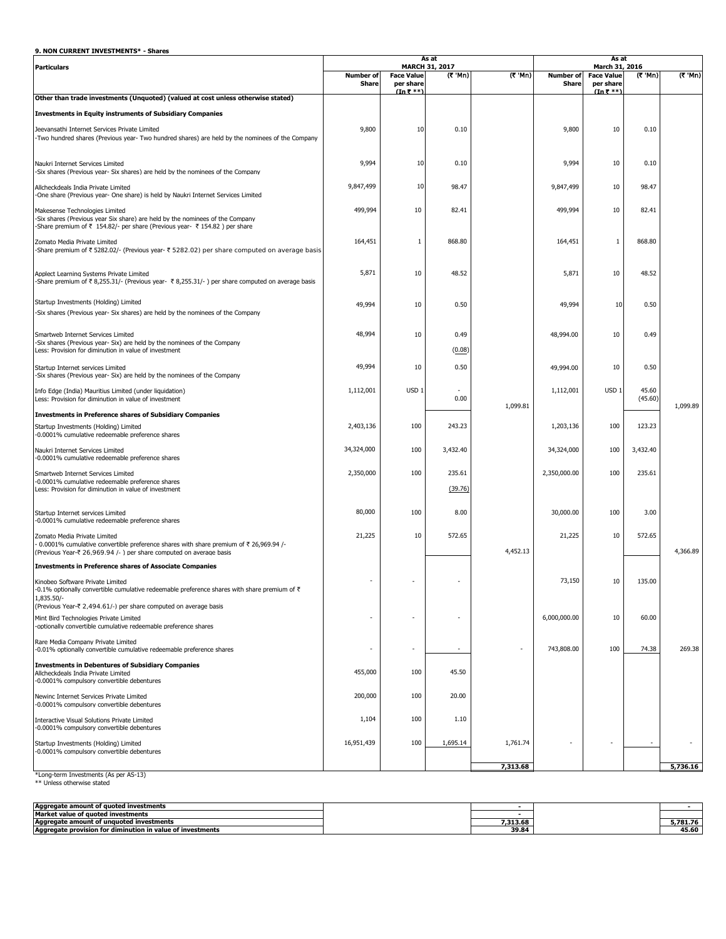# **9. NON CURRENT INVESTMENTS\* - Shares**

|                                                                                                                                                                                                        | As at            |                   |                                 |                          |                  | As at                               |                  |          |
|--------------------------------------------------------------------------------------------------------------------------------------------------------------------------------------------------------|------------------|-------------------|---------------------------------|--------------------------|------------------|-------------------------------------|------------------|----------|
| <b>Particulars</b>                                                                                                                                                                                     | <b>Number of</b> | <b>Face Value</b> | <b>MARCH 31, 2017</b><br>(₹ Mn) | (₹ 'Mn)                  | <b>Number of</b> | March 31, 2016<br><b>Face Value</b> | (₹ Mn)           | (₹ 'Mn)  |
|                                                                                                                                                                                                        | <b>Share</b>     | per share         |                                 |                          | Share            | per share                           |                  |          |
| Other than trade investments (Unquoted) (valued at cost unless otherwise stated)                                                                                                                       |                  | $(In ₹ **")$      |                                 |                          |                  | $(\ln \overline{\zeta}$ **          |                  |          |
| <b>Investments in Equity instruments of Subsidiary Companies</b>                                                                                                                                       |                  |                   |                                 |                          |                  |                                     |                  |          |
|                                                                                                                                                                                                        |                  |                   |                                 |                          |                  |                                     |                  |          |
| Jeevansathi Internet Services Private Limited<br>-Two hundred shares (Previous year- Two hundred shares) are held by the nominees of the Company                                                       | 9,800            | 10                | 0.10                            |                          | 9,800            | 10                                  | 0.10             |          |
|                                                                                                                                                                                                        |                  |                   |                                 |                          |                  |                                     |                  |          |
| Naukri Internet Services Limited<br>-Six shares (Previous year- Six shares) are held by the nominees of the Company                                                                                    | 9,994            | 10                | 0.10                            |                          | 9,994            | 10                                  | 0.10             |          |
| Allcheckdeals India Private Limited<br>-One share (Previous year- One share) is held by Naukri Internet Services Limited                                                                               | 9,847,499        | 10                | 98.47                           |                          | 9,847,499        | 10                                  | 98.47            |          |
| Makesense Technologies Limited<br>-Six shares (Previous year Six share) are held by the nominees of the Company<br>-Share premium of ₹ 154.82/- per share (Previous year- ₹ 154.82) per share          | 499,994          | 10                | 82.41                           |                          | 499,994          | 10                                  | 82.41            |          |
| Zomato Media Private Limited<br>-Share premium of ₹ 5282.02/- (Previous year- ₹ 5282.02) per share computed on average basis                                                                           | 164,451          | 1                 | 868.80                          |                          | 164,451          | 1                                   | 868.80           |          |
| Applect Learning Systems Private Limited<br>-Share premium of ₹ 8,255.31/- (Previous year- ₹ 8,255.31/-) per share computed on average basis                                                           | 5,871            | 10                | 48.52                           |                          | 5,871            | 10                                  | 48.52            |          |
| Startup Investments (Holding) Limited<br>-Six shares (Previous year- Six shares) are held by the nominees of the Company                                                                               | 49,994           | 10                | 0.50                            |                          | 49,994           | 10                                  | 0.50             |          |
| Smartweb Internet Services Limited                                                                                                                                                                     | 48,994           | 10                | 0.49                            |                          | 48,994.00        | 10                                  | 0.49             |          |
| -Six shares (Previous year- Six) are held by the nominees of the Company<br>Less: Provision for diminution in value of investment                                                                      |                  |                   | (0.08)                          |                          |                  |                                     |                  |          |
| Startup Internet services Limited<br>-Six shares (Previous year- Six) are held by the nominees of the Company                                                                                          | 49,994           | 10                | 0.50                            |                          | 49,994.00        | 10                                  | 0.50             |          |
| Info Edge (India) Mauritius Limited (under liquidation)<br>Less: Provision for diminution in value of investment                                                                                       | 1,112,001        | USD <sub>1</sub>  | 0.00                            | 1,099.81                 | 1,112,001        | USD <sub>1</sub>                    | 45.60<br>(45.60) | 1,099.89 |
| <b>Investments in Preference shares of Subsidiary Companies</b>                                                                                                                                        |                  |                   |                                 |                          |                  |                                     |                  |          |
| Startup Investments (Holding) Limited<br>-0.0001% cumulative redeemable preference shares                                                                                                              | 2,403,136        | 100               | 243.23                          |                          | 1,203,136        | 100                                 | 123.23           |          |
| Naukri Internet Services Limited<br>-0.0001% cumulative redeemable preference shares                                                                                                                   | 34,324,000       | 100               | 3,432.40                        |                          | 34,324,000       | 100                                 | 3,432.40         |          |
| Smartweb Internet Services Limited<br>-0.0001% cumulative redeemable preference shares<br>Less: Provision for diminution in value of investment                                                        | 2,350,000        | 100               | 235.61<br>(39.76)               |                          | 2,350,000.00     | 100                                 | 235.61           |          |
| Startup Internet services Limited<br>-0.0001% cumulative redeemable preference shares                                                                                                                  | 80,000           | 100               | 8.00                            |                          | 30,000.00        | 100                                 | 3.00             |          |
| Zomato Media Private Limited<br>0.0001% cumulative convertible preference shares with share premium of $\bar{\tau}$ 26,969.94 /-<br>(Previous Year-₹ 26.969.94 /-) ner share computed on average basis | 21,225           | 10                | 572.65                          | 4,452.13                 | 21,225           | 10                                  | 572.65           | 4,366.89 |
| <b>Investments in Preference shares of Associate Companies</b>                                                                                                                                         |                  |                   |                                 |                          |                  |                                     |                  |          |
| Kinobeo Software Private Limited<br>-0.1% optionally convertible cumulative redeemable preference shares with share premium of $\bar{\tau}$<br>1,835.50/-                                              |                  |                   |                                 |                          | 73,150           | 10                                  | 135.00           |          |
| (Previous Year-₹ 2,494.61/-) per share computed on average basis                                                                                                                                       |                  |                   |                                 |                          |                  |                                     |                  |          |
| Mint Bird Technologies Private Limited<br>-optionally convertible cumulative redeemable preference shares                                                                                              |                  |                   |                                 |                          | 6,000,000.00     | 10                                  | 60.00            |          |
| Rare Media Company Private Limited<br>-0.01% optionally convertible cumulative redeemable preference shares                                                                                            |                  | $\blacksquare$    |                                 | $\overline{\phantom{a}}$ | 743,808.00       | 100                                 | 74.38            | 269.38   |
| <b>Investments in Debentures of Subsidiary Companies</b><br>Allcheckdeals India Private Limited<br>-0.0001% compulsory convertible debentures                                                          | 455,000          | 100               | 45.50                           |                          |                  |                                     |                  |          |
| Newinc Internet Services Private Limited<br>-0.0001% compulsory convertible debentures                                                                                                                 | 200,000          | 100               | 20.00                           |                          |                  |                                     |                  |          |
| Interactive Visual Solutions Private Limited<br>-0.0001% compulsory convertible debentures                                                                                                             | 1,104            | 100               | 1.10                            |                          |                  |                                     |                  |          |
| Startup Investments (Holding) Limited<br>-0.0001% compulsory convertible debentures                                                                                                                    | 16,951,439       | 100               | 1,695.14                        | 1,761.74                 |                  |                                     |                  |          |
| *Long-term Investments (As per AS-13)                                                                                                                                                                  |                  |                   |                                 | 7,313.68                 |                  |                                     |                  | 5,736.16 |

\*Long-term Investments (As per AS-13) \*\* Unless otherwise stated

| Aggregate amount of guoted investments                             |          |                  |
|--------------------------------------------------------------------|----------|------------------|
| Market value of quoted investments                                 |          |                  |
| Aggregate amount of unguoted investments                           | 7,313.68 | 5.781.76         |
| iinution in value of investments<br>Aggregate provision for dimine | 39.84    | $- - -$<br>45.6L |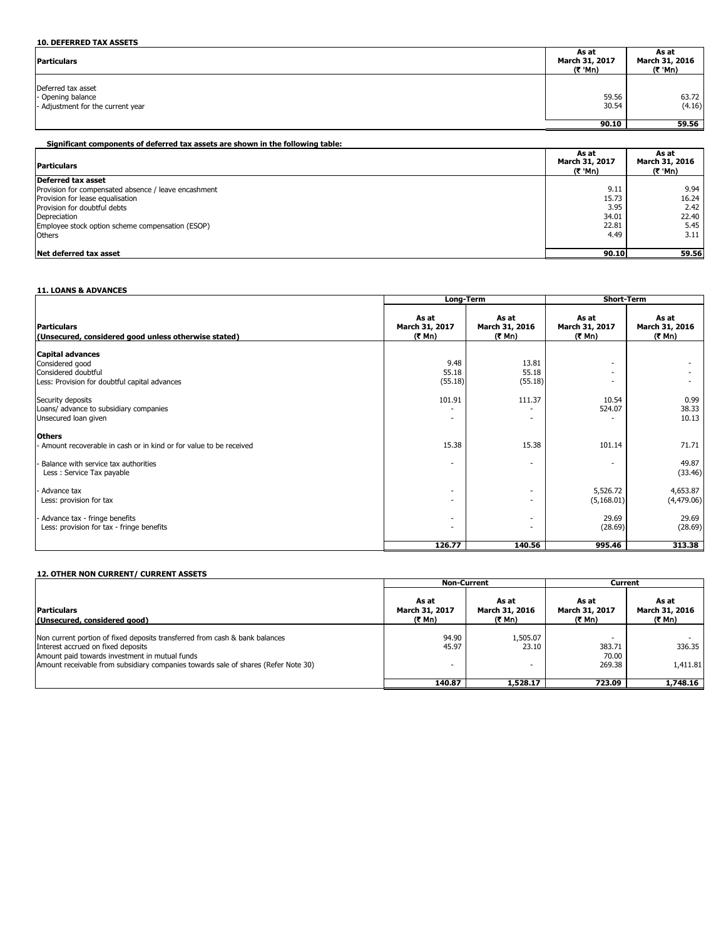| <b>10. DEFERRED TAX ASSETS</b>                                               |                                    |                                    |
|------------------------------------------------------------------------------|------------------------------------|------------------------------------|
| <b>Particulars</b>                                                           | As at<br>March 31, 2017<br>(そ 'Mn) | As at<br>March 31, 2016<br>(₹ 'Mn) |
| Deferred tax asset<br>- Opening balance<br>- Adjustment for the current year | 59.56<br>30.54                     | 63.72<br>(4.16)                    |
|                                                                              | 90.10                              | 59.56                              |

# **Significant components of deferred tax assets are shown in the following table:**

| <b>Particulars</b>                                   | As at<br>March 31, 2017<br>(₹ 'Mn) | As at<br>March 31, 2016<br>(₹ 'Mn) |
|------------------------------------------------------|------------------------------------|------------------------------------|
| Deferred tax asset                                   |                                    |                                    |
| Provision for compensated absence / leave encashment | 9.11                               | 9.94                               |
| Provision for lease equalisation                     | 15.73                              | 16.24                              |
| Provision for doubtful debts                         | 3.95                               | 2.42                               |
| Depreciation                                         | 34.01                              | 22.40                              |
| Employee stock option scheme compensation (ESOP)     | 22.81                              | 5.45                               |
| <b>Others</b>                                        | 4.49                               | 3.11                               |
|                                                      |                                    |                                    |
| Net deferred tax asset                               | 90.10                              | 59.56                              |

### **11. LOANS & ADVANCES**

|                                                                            | Long-Term                         |                                   | <b>Short-Term</b>                 |                                   |  |
|----------------------------------------------------------------------------|-----------------------------------|-----------------------------------|-----------------------------------|-----------------------------------|--|
| <b>Particulars</b><br>(Unsecured, considered good unless otherwise stated) | As at<br>March 31, 2017<br>(₹ Mn) | As at<br>March 31, 2016<br>(र Mn) | As at<br>March 31, 2017<br>(₹ Mn) | As at<br>March 31, 2016<br>(₹ Mn) |  |
|                                                                            |                                   |                                   |                                   |                                   |  |
| <b>Capital advances</b><br>Considered good                                 | 9.48                              | 13.81                             | $\overline{\phantom{0}}$          |                                   |  |
| Considered doubtful                                                        | 55.18                             | 55.18                             | $\overline{\phantom{0}}$          |                                   |  |
| Less: Provision for doubtful capital advances                              | (55.18)                           | (55.18)                           | $\overline{\phantom{0}}$          |                                   |  |
|                                                                            |                                   |                                   |                                   |                                   |  |
| Security deposits                                                          | 101.91                            | 111.37                            | 10.54                             | 0.99                              |  |
| Loans/ advance to subsidiary companies                                     |                                   |                                   | 524.07                            | 38.33                             |  |
| Unsecured loan given                                                       |                                   |                                   |                                   | 10.13                             |  |
| <b>Others</b>                                                              |                                   |                                   |                                   |                                   |  |
| Amount recoverable in cash or in kind or for value to be received          | 15.38                             | 15.38                             | 101.14                            | 71.71                             |  |
|                                                                            |                                   |                                   |                                   |                                   |  |
| Balance with service tax authorities                                       | $\overline{\phantom{a}}$          |                                   | $\overline{\phantom{0}}$          | 49.87                             |  |
| Less: Service Tax payable                                                  |                                   |                                   |                                   | (33.46)                           |  |
|                                                                            |                                   |                                   |                                   |                                   |  |
| Advance tax                                                                | $\overline{\phantom{a}}$          | $\overline{\phantom{a}}$          | 5,526.72                          | 4,653.87                          |  |
| Less: provision for tax                                                    |                                   |                                   | (5, 168.01)                       | (4,479.06)                        |  |
| Advance tax - fringe benefits                                              | $\overline{\phantom{a}}$          | $\overline{\phantom{a}}$          | 29.69                             | 29.69                             |  |
| Less: provision for tax - fringe benefits                                  |                                   |                                   | (28.69)                           | (28.69)                           |  |
|                                                                            |                                   |                                   |                                   |                                   |  |
|                                                                            | 126.77                            | 140.56                            | 995.46                            | 313.38                            |  |

# **12. OTHER NON CURRENT/ CURRENT ASSETS**

|                                                                                                                                                                                                                                                           |                                   | <b>Non-Current</b>                | Current                           |                                   |  |
|-----------------------------------------------------------------------------------------------------------------------------------------------------------------------------------------------------------------------------------------------------------|-----------------------------------|-----------------------------------|-----------------------------------|-----------------------------------|--|
| <b>Particulars</b><br>(Unsecured, considered good)                                                                                                                                                                                                        | As at<br>March 31, 2017<br>(₹ Mn) | As at<br>March 31, 2016<br>(₹ Mn) | As at<br>March 31, 2017<br>(₹ Mn) | As at<br>March 31, 2016<br>(₹ Mn) |  |
| Non current portion of fixed deposits transferred from cash & bank balances<br>Interest accrued on fixed deposits<br>Amount paid towards investment in mutual funds<br>Amount receivable from subsidiary companies towards sale of shares (Refer Note 30) | 94.90<br>45.97                    | 1,505.07<br>23.10                 | 383.71<br>70.00<br>269.38         | 336.35<br>1,411.81                |  |
|                                                                                                                                                                                                                                                           | 140.87                            | 1,528.17                          | 723.09                            | 1,748.16                          |  |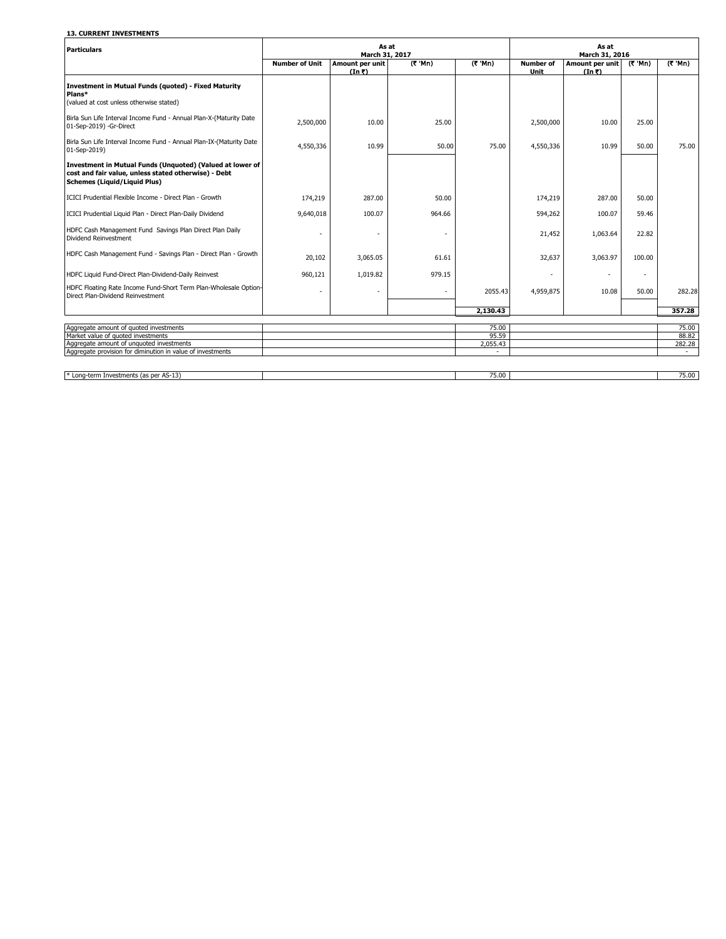## **13. CURRENT INVESTMENTS**

| <b>Particulars</b>                                                                                                                                       |                       | As at<br>March 31, 2017   |                  |                  |                          | As at<br>March 31, 2016               |         |                          |
|----------------------------------------------------------------------------------------------------------------------------------------------------------|-----------------------|---------------------------|------------------|------------------|--------------------------|---------------------------------------|---------|--------------------------|
|                                                                                                                                                          | <b>Number of Unit</b> | Amount per unit<br>(In 5) | $(7 \text{ Mn})$ | $(7 \text{ Mn})$ | <b>Number of</b><br>Unit | Amount per unit<br>$(In \mathcal{R})$ | (ኛ 'Mn) | (R'Mn)                   |
| <b>Investment in Mutual Funds (quoted) - Fixed Maturity</b><br>Plans*<br>(valued at cost unless otherwise stated)                                        |                       |                           |                  |                  |                          |                                       |         |                          |
| Birla Sun Life Interval Income Fund - Annual Plan-X-(Maturity Date<br>01-Sep-2019) -Gr-Direct                                                            | 2,500,000             | 10.00                     | 25.00            |                  | 2,500,000                | 10.00                                 | 25.00   |                          |
| Birla Sun Life Interval Income Fund - Annual Plan-IX-(Maturity Date<br>01-Sep-2019)                                                                      | 4,550,336             | 10.99                     | 50.00            | 75.00            | 4,550,336                | 10.99                                 | 50.00   | 75.00                    |
| Investment in Mutual Funds (Unquoted) (Valued at lower of<br>cost and fair value, unless stated otherwise) - Debt<br><b>Schemes (Liquid/Liquid Plus)</b> |                       |                           |                  |                  |                          |                                       |         |                          |
| ICICI Prudential Flexible Income - Direct Plan - Growth                                                                                                  | 174,219               | 287.00                    | 50.00            |                  | 174,219                  | 287.00                                | 50.00   |                          |
| ICICI Prudential Liquid Plan - Direct Plan-Daily Dividend                                                                                                | 9,640,018             | 100.07                    | 964.66           |                  | 594,262                  | 100.07                                | 59.46   |                          |
| HDFC Cash Management Fund Savings Plan Direct Plan Daily<br>Dividend Reinvestment                                                                        | ۰                     |                           |                  |                  | 21,452                   | 1,063.64                              | 22.82   |                          |
| HDFC Cash Management Fund - Savings Plan - Direct Plan - Growth                                                                                          | 20,102                | 3,065.05                  | 61.61            |                  | 32,637                   | 3,063.97                              | 100.00  |                          |
| HDFC Liquid Fund-Direct Plan-Dividend-Daily Reinvest                                                                                                     | 960,121               | 1,019.82                  | 979.15           |                  |                          |                                       | $\sim$  |                          |
| HDFC Floating Rate Income Fund-Short Term Plan-Wholesale Option-<br>Direct Plan-Dividend Reinvestment                                                    |                       |                           |                  | 2055.43          | 4,959,875                | 10.08                                 | 50.00   | 282.28                   |
|                                                                                                                                                          |                       |                           |                  | 2,130.43         |                          |                                       |         | 357.28                   |
| Aggregate amount of quoted investments                                                                                                                   |                       |                           |                  | 75.00            |                          |                                       |         | 75.00                    |
| Market value of quoted investments                                                                                                                       |                       |                           |                  | 95.59            |                          |                                       |         | 88.82                    |
| Aggregate amount of unquoted investments                                                                                                                 |                       |                           |                  | 2,055.43         |                          |                                       |         | 282.28                   |
| Aggregate provision for diminution in value of investments                                                                                               |                       |                           |                  |                  |                          |                                       |         | $\overline{\phantom{a}}$ |
|                                                                                                                                                          |                       |                           |                  |                  |                          |                                       |         |                          |
| * Long-term Investments (as per AS-13)                                                                                                                   |                       |                           |                  | 75.00            |                          |                                       |         | 75.00                    |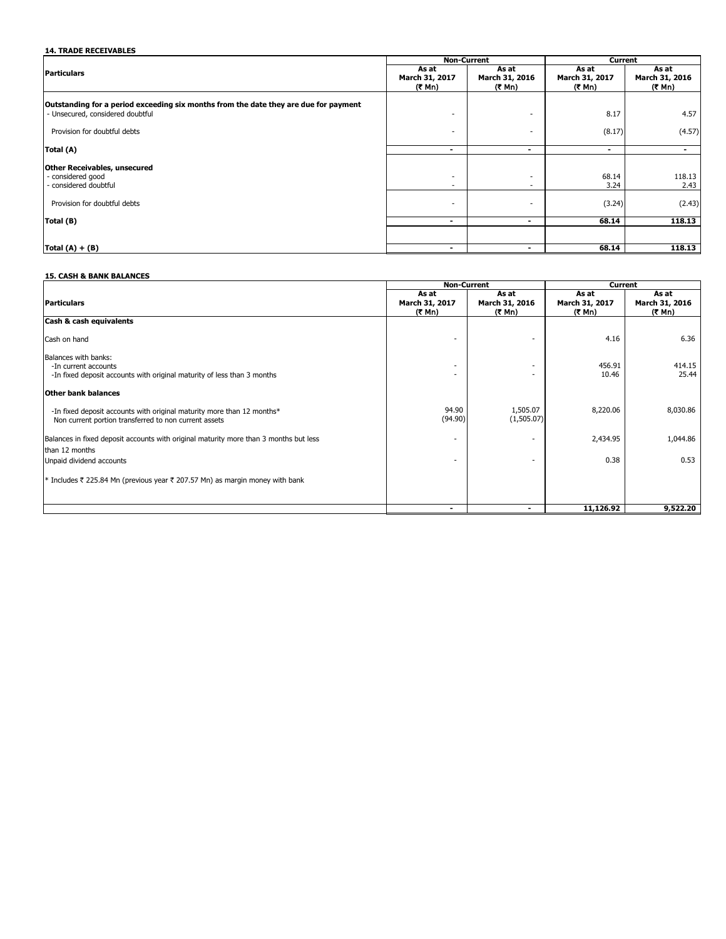# **14. TRADE RECEIVABLES**

|                                                                                                                          |                                    | <b>Non-Current</b>       | Current                 |                         |  |
|--------------------------------------------------------------------------------------------------------------------------|------------------------------------|--------------------------|-------------------------|-------------------------|--|
| <b>Particulars</b>                                                                                                       | As at<br>March 31, 2017            | As at<br>March 31, 2016  | As at<br>March 31, 2017 | As at<br>March 31, 2016 |  |
|                                                                                                                          | (₹ Mn)                             | (₹ Mn)                   | (₹ Mn)                  | (₹ Mn)                  |  |
| Outstanding for a period exceeding six months from the date they are due for payment<br>- Unsecured, considered doubtful | ٠                                  | $\overline{\phantom{a}}$ | 8.17                    | 4.57                    |  |
| Provision for doubtful debts                                                                                             | ۰                                  | $\sim$                   | (8.17)                  | (4.57)                  |  |
| Total (A)                                                                                                                | $\blacksquare$                     | $\blacksquare$           | $\blacksquare$          |                         |  |
| <b>Other Receivables, unsecured</b>                                                                                      |                                    |                          |                         |                         |  |
| - considered good<br>- considered doubtful                                                                               | $\overline{\phantom{a}}$<br>$\sim$ | $\sim$<br>$\sim$         | 68.14<br>3.24           | 118.13<br>2.43          |  |
| Provision for doubtful debts                                                                                             | $\overline{\phantom{a}}$           | $\overline{a}$           | (3.24)                  | (2.43)                  |  |
| Total (B)                                                                                                                | $\blacksquare$                     | $\blacksquare$           | 68.14                   | 118.13                  |  |
|                                                                                                                          |                                    |                          |                         |                         |  |
| Total $(A) + (B)$                                                                                                        | $\blacksquare$                     | $\blacksquare$           | 68.14                   | 118.13                  |  |

## **15. CASH & BANK BALANCES**

|                                                                                       | <b>Non-Current</b>       |                          | Current                  |                          |  |
|---------------------------------------------------------------------------------------|--------------------------|--------------------------|--------------------------|--------------------------|--|
|                                                                                       | As at                    | As at                    | As at                    | As at                    |  |
| <b>Particulars</b>                                                                    | March 31, 2017<br>(₹ Mn) | March 31, 2016<br>(₹ Mn) | March 31, 2017<br>(₹ Mn) | March 31, 2016<br>(₹ Mn) |  |
| Cash & cash equivalents                                                               |                          |                          |                          |                          |  |
| Cash on hand                                                                          |                          | $\overline{\phantom{a}}$ | 4.16                     | 6.36                     |  |
| Balances with banks:                                                                  |                          |                          |                          |                          |  |
| -In current accounts                                                                  |                          | ٠                        | 456.91                   | 414.15                   |  |
| -In fixed deposit accounts with original maturity of less than 3 months               |                          |                          | 10.46                    | 25.44                    |  |
| Other bank balances                                                                   |                          |                          |                          |                          |  |
| -In fixed deposit accounts with original maturity more than 12 months*                | 94.90                    | 1,505.07                 | 8,220.06                 | 8,030.86                 |  |
| Non current portion transferred to non current assets                                 | (94.90)                  | (1,505.07)               |                          |                          |  |
| Balances in fixed deposit accounts with original maturity more than 3 months but less |                          |                          | 2,434.95                 | 1,044.86                 |  |
| than 12 months                                                                        |                          |                          |                          |                          |  |
| Unpaid dividend accounts                                                              |                          |                          | 0.38                     | 0.53                     |  |
| * Includes ₹ 225.84 Mn (previous year ₹ 207.57 Mn) as margin money with bank          |                          |                          |                          |                          |  |
|                                                                                       |                          |                          |                          |                          |  |
|                                                                                       | -                        | ۰                        | 11,126.92                | 9,522.20                 |  |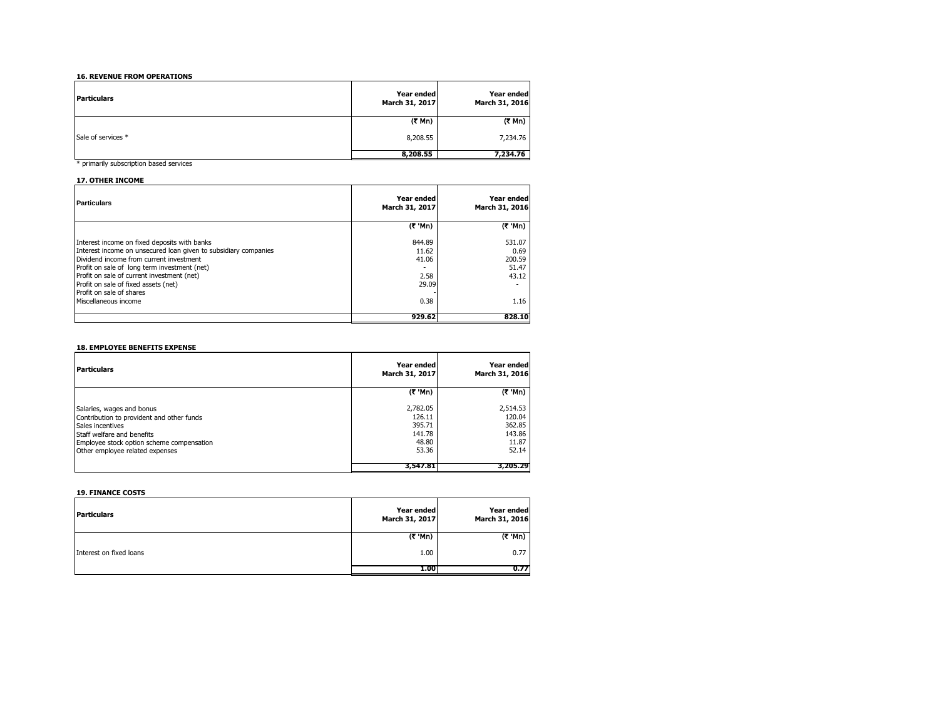### **16. REVENUE FROM OPERATIONS**

| <b>Particulars</b> | Year ended<br>March 31, 2017 | Year ended<br>March 31, 2016 |
|--------------------|------------------------------|------------------------------|
|                    | $(3 \text{ Mn})$             | (₹ Mn)                       |
| Sale of services * | 8,208.55                     | 7,234.76                     |
|                    | 8,208.55                     | 7,234.76                     |

\* primarily subscription based services

### **17. OTHER INCOME**

| <b>Particulars</b>                                                                                                                                                                                                                                                                                                           | Year ended<br>March 31, 2017              | Year ended<br>March 31, 2016               |
|------------------------------------------------------------------------------------------------------------------------------------------------------------------------------------------------------------------------------------------------------------------------------------------------------------------------------|-------------------------------------------|--------------------------------------------|
|                                                                                                                                                                                                                                                                                                                              | $(7 \text{ Mn})$                          | $(7 \text{ M})$                            |
| Interest income on fixed deposits with banks<br>Interest income on unsecured loan given to subsidiary companies<br>Dividend income from current investment<br>Profit on sale of long term investment (net)<br>Profit on sale of current investment (net)<br>Profit on sale of fixed assets (net)<br>Profit on sale of shares | 844.89<br>11.62<br>41.06<br>2.58<br>29.09 | 531.07<br>0.69<br>200.59<br>51.47<br>43.12 |
| Miscellaneous income                                                                                                                                                                                                                                                                                                         | 0.38                                      | 1.16                                       |
|                                                                                                                                                                                                                                                                                                                              | 929.62                                    | 828.10                                     |

# **18. EMPLOYEE BENEFITS EXPENSE**

| Particulars                                                                                                                                                                                              | <b>Year ended</b><br>March 31, 2017                      | Year ended<br>March 31, 2016                             |
|----------------------------------------------------------------------------------------------------------------------------------------------------------------------------------------------------------|----------------------------------------------------------|----------------------------------------------------------|
|                                                                                                                                                                                                          | (₹ 'Mn)                                                  | (₹ 'Mn)                                                  |
| Salaries, wages and bonus<br>Contribution to provident and other funds<br>Sales incentives<br>Staff welfare and benefits<br>Employee stock option scheme compensation<br>Other employee related expenses | 2,782.05<br>126.11<br>395.71<br>141.78<br>48.80<br>53.36 | 2,514.53<br>120.04<br>362.85<br>143.86<br>11.87<br>52.14 |
|                                                                                                                                                                                                          | 3,547.81                                                 | 3,205,29                                                 |

### **19. FINANCE COSTS**

| <b>Particulars</b>      | Year ended<br>March 31, 2017 | Year ended<br>March 31, 2016 |
|-------------------------|------------------------------|------------------------------|
|                         | (₹ 'Mn)                      | (₹ 'Mn)                      |
| Interest on fixed loans | 1.00                         | 0.77                         |
|                         | 1.00                         | 0.77                         |